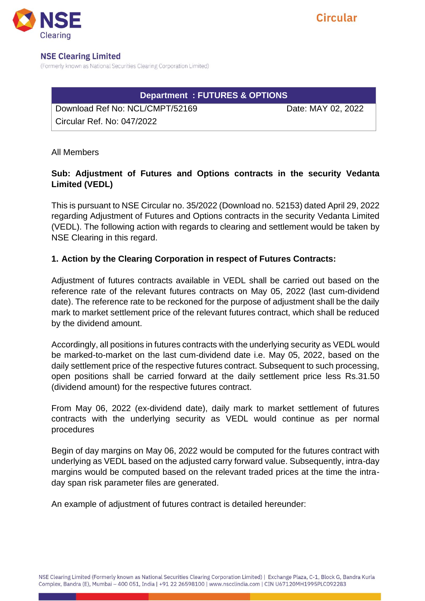

#### **NSE Clearing Limited**

(Formerly known as National Securities Clearing Corporation Limited)

# **Department : FUTURES & OPTIONS**

Download Ref No: NCL/CMPT/52169 Date: MAY 02, 2022 Circular Ref. No: 047/2022

All Members

# **Sub: Adjustment of Futures and Options contracts in the security Vedanta Limited (VEDL)**

This is pursuant to NSE Circular no. 35/2022 (Download no. 52153) dated April 29, 2022 regarding Adjustment of Futures and Options contracts in the security Vedanta Limited (VEDL). The following action with regards to clearing and settlement would be taken by NSE Clearing in this regard.

## **1. Action by the Clearing Corporation in respect of Futures Contracts:**

Adjustment of futures contracts available in VEDL shall be carried out based on the reference rate of the relevant futures contracts on May 05, 2022 (last cum-dividend date). The reference rate to be reckoned for the purpose of adjustment shall be the daily mark to market settlement price of the relevant futures contract, which shall be reduced by the dividend amount.

Accordingly, all positions in futures contracts with the underlying security as VEDL would be marked-to-market on the last cum-dividend date i.e. May 05, 2022, based on the daily settlement price of the respective futures contract. Subsequent to such processing, open positions shall be carried forward at the daily settlement price less Rs.31.50 (dividend amount) for the respective futures contract.

From May 06, 2022 (ex-dividend date), daily mark to market settlement of futures contracts with the underlying security as VEDL would continue as per normal procedures

Begin of day margins on May 06, 2022 would be computed for the futures contract with underlying as VEDL based on the adjusted carry forward value. Subsequently, intra-day margins would be computed based on the relevant traded prices at the time the intraday span risk parameter files are generated.

An example of adjustment of futures contract is detailed hereunder: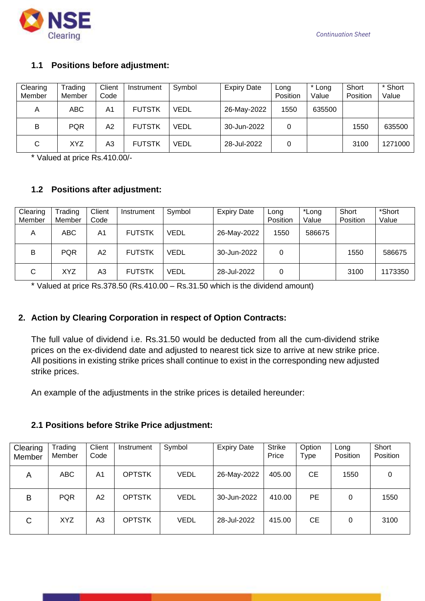

## **1.1 Positions before adjustment:**

| Clearing<br>Member | Trading<br>Member | Client<br>Code | Instrument    | Symbol | <b>Expiry Date</b> | Long<br>Position | Long<br>Value | Short<br>Position | * Short<br>Value |
|--------------------|-------------------|----------------|---------------|--------|--------------------|------------------|---------------|-------------------|------------------|
| A                  | ABC               | A <sub>1</sub> | <b>FUTSTK</b> | VEDL   | 26-May-2022        | 1550             | 635500        |                   |                  |
| B                  | <b>PQR</b>        | A2             | <b>FUTSTK</b> | VEDL   | 30-Jun-2022        | 0                |               | 1550              | 635500           |
| C                  | XYZ               | A3             | <b>FUTSTK</b> | VEDL   | 28-Jul-2022        |                  |               | 3100              | 1271000          |

\* Valued at price Rs.410.00/-

## **1.2 Positions after adjustment:**

| Clearing<br>Member | Trading<br>Member | Client<br>Code | Instrument    | Symbol | <b>Expiry Date</b> | Long<br>Position | *Long<br>Value | Short<br>Position | *Short<br>Value |
|--------------------|-------------------|----------------|---------------|--------|--------------------|------------------|----------------|-------------------|-----------------|
| A                  | <b>ABC</b>        | A1             | <b>FUTSTK</b> | VEDL   | 26-May-2022        | 1550             | 586675         |                   |                 |
| B                  | <b>PQR</b>        | А2             | <b>FUTSTK</b> | VEDL   | 30-Jun-2022        | 0                |                | 1550              | 586675          |
| $\mathsf{C}$       | <b>XYZ</b>        | A3             | <b>FUTSTK</b> | VEDL   | 28-Jul-2022        | 0                |                | 3100              | 1173350         |

\* Valued at price Rs.378.50 (Rs.410.00 – Rs.31.50 which is the dividend amount)

### **2. Action by Clearing Corporation in respect of Option Contracts:**

The full value of dividend i.e. Rs.31.50 would be deducted from all the cum-dividend strike prices on the ex-dividend date and adjusted to nearest tick size to arrive at new strike price. All positions in existing strike prices shall continue to exist in the corresponding new adjusted strike prices.

An example of the adjustments in the strike prices is detailed hereunder:

#### **2.1 Positions before Strike Price adjustment:**

| Clearing<br>Member | Trading<br>Member | Client<br>Code | Instrument    | Symbol      | <b>Expiry Date</b> | <b>Strike</b><br>Price | Option<br>Type | Long<br>Position | Short<br>Position |
|--------------------|-------------------|----------------|---------------|-------------|--------------------|------------------------|----------------|------------------|-------------------|
| A                  | <b>ABC</b>        | A1             | <b>OPTSTK</b> | <b>VEDL</b> | 26-May-2022        | 405.00                 | СE             | 1550             | 0                 |
| B                  | <b>PQR</b>        | A2             | <b>OPTSTK</b> | <b>VEDL</b> | 30-Jun-2022        | 410.00                 | <b>PE</b>      | 0                | 1550              |
| C                  | <b>XYZ</b>        | A3             | <b>OPTSTK</b> | <b>VEDL</b> | 28-Jul-2022        | 415.00                 | CЕ             | 0                | 3100              |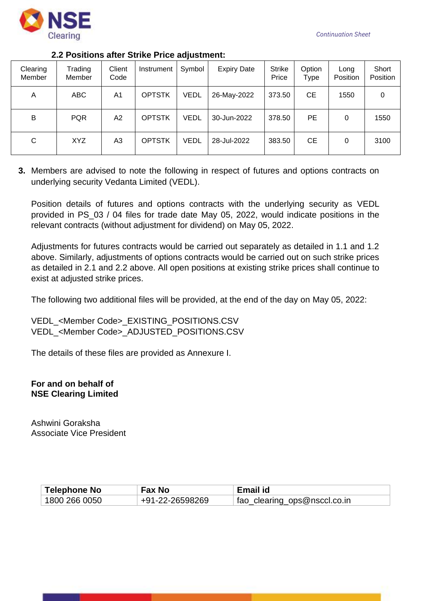

### **2.2 Positions after Strike Price adjustment:**

| Clearing<br>Member | Trading<br>Member | Client<br>Code | Instrument    | Symbol      | <b>Expiry Date</b> | <b>Strike</b><br>Price | Option<br>Type | Long<br>Position | Short<br>Position |
|--------------------|-------------------|----------------|---------------|-------------|--------------------|------------------------|----------------|------------------|-------------------|
| A                  | <b>ABC</b>        | A1             | <b>OPTSTK</b> | <b>VEDL</b> | 26-May-2022        | 373.50                 | <b>CE</b>      | 1550             | 0                 |
| В                  | <b>PQR</b>        | А2             | <b>OPTSTK</b> | <b>VEDL</b> | 30-Jun-2022        | 378.50                 | PE.            | 0                | 1550              |
| С                  | XYZ               | A3             | <b>OPTSTK</b> | <b>VEDL</b> | 28-Jul-2022        | 383.50                 | <b>CE</b>      | 0                | 3100              |

**3.** Members are advised to note the following in respect of futures and options contracts on underlying security Vedanta Limited (VEDL).

Position details of futures and options contracts with the underlying security as VEDL provided in PS\_03 / 04 files for trade date May 05, 2022, would indicate positions in the relevant contracts (without adjustment for dividend) on May 05, 2022.

Adjustments for futures contracts would be carried out separately as detailed in 1.1 and 1.2 above. Similarly, adjustments of options contracts would be carried out on such strike prices as detailed in 2.1 and 2.2 above. All open positions at existing strike prices shall continue to exist at adjusted strike prices.

The following two additional files will be provided, at the end of the day on May 05, 2022:

VEDL\_<Member Code>\_EXISTING\_POSITIONS.CSV VEDL\_<Member Code>\_ADJUSTED\_POSITIONS.CSV

The details of these files are provided as Annexure I.

**For and on behalf of NSE Clearing Limited**

Ashwini Goraksha Associate Vice President

| Telephone No    | <b>Fax No</b>   | Email id                     |
|-----------------|-----------------|------------------------------|
| ່ 1800 266 0050 | +91-22-26598269 | fao_clearing_ops@nsccl.co.in |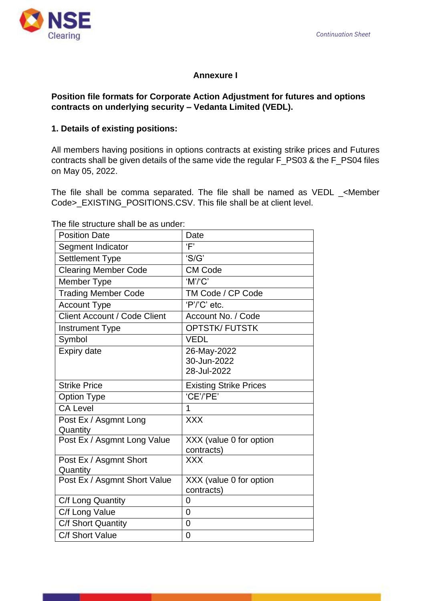

# **Annexure I**

## **Position file formats for Corporate Action Adjustment for futures and options contracts on underlying security – Vedanta Limited (VEDL).**

## **1. Details of existing positions:**

All members having positions in options contracts at existing strike prices and Futures contracts shall be given details of the same vide the regular F\_PS03 & the F\_PS04 files on May 05, 2022.

The file shall be comma separated. The file shall be named as VEDL \_<Member Code>\_EXISTING\_POSITIONS.CSV. This file shall be at client level.

The file structure shall be as under:

| <b>Position Date</b>                | Date                                      |
|-------------------------------------|-------------------------------------------|
| Segment Indicator                   | 'F'                                       |
| <b>Settlement Type</b>              | 'S/G'                                     |
| <b>Clearing Member Code</b>         | <b>CM Code</b>                            |
| Member Type                         | 'M'/'C'                                   |
| <b>Trading Member Code</b>          | TM Code / CP Code                         |
| <b>Account Type</b>                 | 'P'/'C' etc.                              |
| <b>Client Account / Code Client</b> | Account No. / Code                        |
| <b>Instrument Type</b>              | <b>OPTSTK/FUTSTK</b>                      |
| Symbol                              | <b>VEDL</b>                               |
| <b>Expiry date</b>                  | 26-May-2022<br>30-Jun-2022<br>28-Jul-2022 |
| <b>Strike Price</b>                 | <b>Existing Strike Prices</b>             |
| <b>Option Type</b>                  | 'CE'/'PE'                                 |
| <b>CA Level</b>                     | 1                                         |
| Post Ex / Asgmnt Long<br>Quantity   | <b>XXX</b>                                |
| Post Ex / Asgmnt Long Value         | XXX (value 0 for option<br>contracts)     |
| Post Ex / Asgmnt Short<br>Quantity  | <b>XXX</b>                                |
| Post Ex / Asgmnt Short Value        | XXX (value 0 for option<br>contracts)     |
| C/f Long Quantity                   | 0                                         |
| C/f Long Value                      | $\overline{0}$                            |
| C/f Short Quantity                  | $\overline{0}$                            |
| C/f Short Value                     | 0                                         |